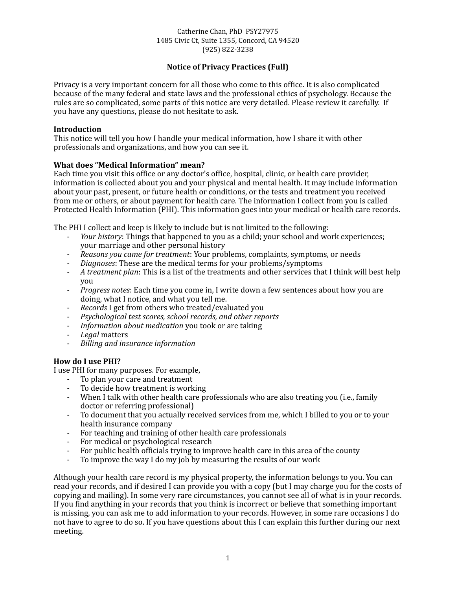#### Catherine Chan, PhD PSY27975 1485 Civic Ct, Suite 1355, Concord, CA 94520 (925) 822-3238

# **Notice of Privacy Practices (Full)**

Privacy is a very important concern for all those who come to this office. It is also complicated because of the many federal and state laws and the professional ethics of psychology. Because the rules are so complicated, some parts of this notice are very detailed. Please review it carefully. If you have any questions, please do not hesitate to ask.

#### **Introduction**

This notice will tell you how I handle your medical information, how I share it with other professionals and organizations, and how you can see it.

#### **What does "Medical Information" mean?**

Each time you visit this office or any doctor's office, hospital, clinic, or health care provider, information is collected about you and your physical and mental health. It may include information about your past, present, or future health or conditions, or the tests and treatment you received from me or others, or about payment for health care. The information I collect from you is called Protected Health Information (PHI). This information goes into your medical or health care records.

The PHI I collect and keep is likely to include but is not limited to the following:

- *Your history*: Things that happened to you as a child; your school and work experiences; your marriage and other personal history
- *Reasons you came for treatment:* Your problems, complaints, symptoms, or needs
- *Diagnoses*: These are the medical terms for your problems/symptoms
- *A* treatment plan: This is a list of the treatments and other services that I think will best help you
- *Progress notes*: Each time you come in, I write down a few sentences about how you are doing, what I notice, and what you tell me.
- *Records* I get from others who treated/evaluated you
- *Psychological test scores, school records, and other reports*
- *Information about medication* you took or are taking
- *Legal* matters
- *Billing and insurance information*

#### **How do I use PHI?**

I use PHI for many purposes. For example,

- To plan your care and treatment
- To decide how treatment is working
- When I talk with other health care professionals who are also treating you (i.e., family doctor or referring professional)
- To document that you actually received services from me, which I billed to you or to your health insurance company
- For teaching and training of other health care professionals
- For medical or psychological research
- For public health officials trying to improve health care in this area of the county
- To improve the way I do my job by measuring the results of our work

Although your health care record is my physical property, the information belongs to you. You can read your records, and if desired I can provide you with a copy (but I may charge you for the costs of copying and mailing). In some very rare circumstances, you cannot see all of what is in your records. If you find anything in your records that you think is incorrect or believe that something important is missing, you can ask me to add information to your records. However, in some rare occasions I do not have to agree to do so. If you have questions about this I can explain this further during our next meeting.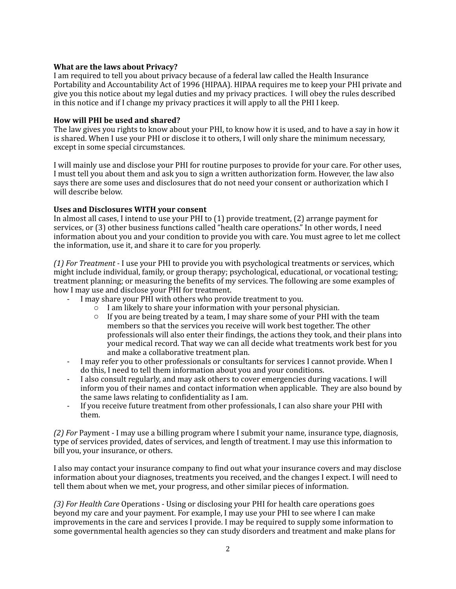### **What are the laws about Privacy?**

I am required to tell you about privacy because of a federal law called the Health Insurance Portability and Accountability Act of 1996 (HIPAA). HIPAA requires me to keep your PHI private and give you this notice about my legal duties and my privacy practices. I will obey the rules described in this notice and if I change my privacy practices it will apply to all the PHI I keep.

### How will PHI be used and shared?

The law gives you rights to know about your PHI, to know how it is used, and to have a say in how it is shared. When I use your PHI or disclose it to others, I will only share the minimum necessary, except in some special circumstances.

I will mainly use and disclose your PHI for routine purposes to provide for your care. For other uses, I must tell you about them and ask you to sign a written authorization form. However, the law also says there are some uses and disclosures that do not need your consent or authorization which I will describe below.

## Uses and Disclosures WITH your consent

In almost all cases, I intend to use your PHI to  $(1)$  provide treatment,  $(2)$  arrange payment for services, or (3) other business functions called "health care operations." In other words, I need information about you and your condition to provide you with care. You must agree to let me collect the information, use it, and share it to care for you properly.

*(1) For Treatment* - I use your PHI to provide you with psychological treatments or services, which might include individual, family, or group therapy; psychological, educational, or vocational testing; treatment planning; or measuring the benefits of my services. The following are some examples of how I may use and disclose your PHI for treatment.

- I may share your PHI with others who provide treatment to you.
	- $\circ$  I am likely to share your information with your personal physician.
	- $\circ$  If you are being treated by a team, I may share some of your PHI with the team members so that the services you receive will work best together. The other professionals will also enter their findings, the actions they took, and their plans into your medical record. That way we can all decide what treatments work best for you and make a collaborative treatment plan.
- I may refer you to other professionals or consultants for services I cannot provide. When I do this, I need to tell them information about you and your conditions.
- I also consult regularly, and may ask others to cover emergencies during vacations. I will inform you of their names and contact information when applicable. They are also bound by the same laws relating to confidentiality as I am.
- If you receive future treatment from other professionals, I can also share your PHI with them.

*(2)* For Payment - I may use a billing program where I submit your name, insurance type, diagnosis, type of services provided, dates of services, and length of treatment. I may use this information to bill you, your insurance, or others.

I also may contact your insurance company to find out what your insurance covers and may disclose information about your diagnoses, treatments you received, and the changes I expect. I will need to tell them about when we met, your progress, and other similar pieces of information.

(3) For Health Care Operations - Using or disclosing your PHI for health care operations goes beyond my care and your payment. For example, I may use your PHI to see where I can make improvements in the care and services I provide. I may be required to supply some information to some governmental health agencies so they can study disorders and treatment and make plans for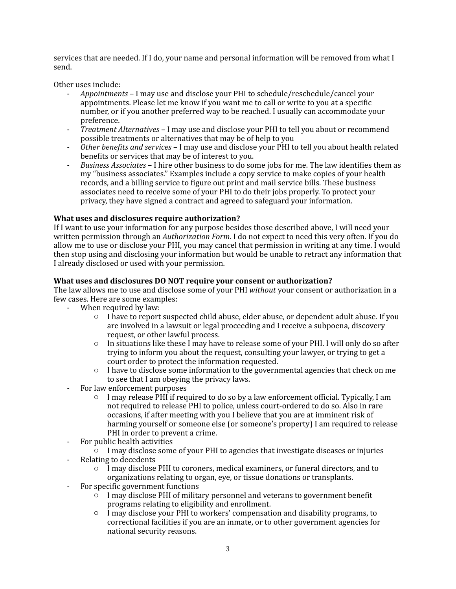services that are needed. If I do, your name and personal information will be removed from what I send. 

Other uses include:

- Appointments I may use and disclose your PHI to schedule/reschedule/cancel your appointments. Please let me know if you want me to call or write to you at a specific number, or if you another preferred way to be reached. I usually can accommodate your preference.
- *Treatment Alternatives* I may use and disclose your PHI to tell you about or recommend possible treatments or alternatives that may be of help to you
- Other benefits and services I may use and disclose your PHI to tell you about health related benefits or services that may be of interest to you.
- *Business Associates* I hire other business to do some jobs for me. The law identifies them as my "business associates." Examples include a copy service to make copies of your health records, and a billing service to figure out print and mail service bills. These business associates need to receive some of your PHI to do their jobs properly. To protect your privacy, they have signed a contract and agreed to safeguard your information.

# **What uses and disclosures require authorization?**

If I want to use your information for any purpose besides those described above, I will need your written permission through an *Authorization Form*. I do not expect to need this very often. If you do allow me to use or disclose your PHI, you may cancel that permission in writing at any time. I would then stop using and disclosing your information but would be unable to retract any information that I already disclosed or used with your permission.

#### **What uses and disclosures DO NOT require your consent or authorization?**

The law allows me to use and disclose some of your PHI *without* your consent or authorization in a few cases. Here are some examples:

- When required by law:
	- $\circ$  I have to report suspected child abuse, elder abuse, or dependent adult abuse. If you are involved in a lawsuit or legal proceeding and I receive a subpoena, discovery request, or other lawful process.
	- $\circ$  In situations like these I may have to release some of your PHI. I will only do so after trying to inform you about the request, consulting your lawyer, or trying to get a court order to protect the information requested.
	- $\circ$  I have to disclose some information to the governmental agencies that check on me to see that I am obeying the privacy laws.
- For law enforcement purposes
	- $\circ$  I may release PHI if required to do so by a law enforcement official. Typically, I am not required to release PHI to police, unless court-ordered to do so. Also in rare occasions, if after meeting with you I believe that you are at imminent risk of harming yourself or someone else (or someone's property) I am required to release PHI in order to prevent a crime.
- For public health activities
	- $\circ$  I may disclose some of your PHI to agencies that investigate diseases or injuries
- Relating to decedents
	- $\circ$  I may disclose PHI to coroners, medical examiners, or funeral directors, and to organizations relating to organ, eye, or tissue donations or transplants.
- For specific government functions
	- $\circ$  I may disclose PHI of military personnel and veterans to government benefit programs relating to eligibility and enrollment.
	- $\circ$  I may disclose your PHI to workers' compensation and disability programs, to correctional facilities if you are an inmate, or to other government agencies for national security reasons.